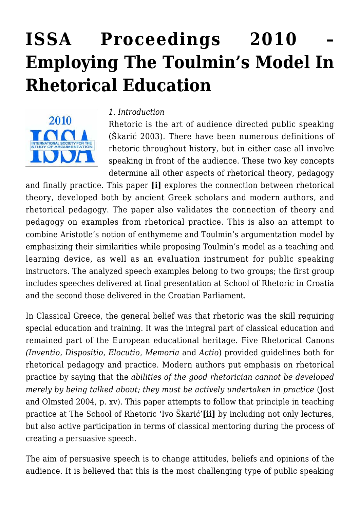# **[ISSA Proceedings 2010 –](https://rozenbergquarterly.com/issa-proceedings-2010-employing-the-toulmins-model-in-rhetorical-education/) [Employing The Toulmin's Model In](https://rozenbergquarterly.com/issa-proceedings-2010-employing-the-toulmins-model-in-rhetorical-education/) [Rhetorical Education](https://rozenbergquarterly.com/issa-proceedings-2010-employing-the-toulmins-model-in-rhetorical-education/)**



#### *1. Introduction*

Rhetoric is the art of audience directed public speaking (Škarić 2003). There have been numerous definitions of rhetoric throughout history, but in either case all involve speaking in front of the audience. These two key concepts determine all other aspects of rhetorical theory, pedagogy

and finally practice. This paper **[i]** explores the connection between rhetorical theory, developed both by ancient Greek scholars and modern authors, and rhetorical pedagogy. The paper also validates the connection of theory and pedagogy on examples from rhetorical practice. This is also an attempt to combine Aristotle's notion of enthymeme and Toulmin's argumentation model by emphasizing their similarities while proposing Toulmin's model as a teaching and learning device, as well as an evaluation instrument for public speaking instructors. The analyzed speech examples belong to two groups; the first group includes speeches delivered at final presentation at School of Rhetoric in Croatia and the second those delivered in the Croatian Parliament.

In Classical Greece, the general belief was that rhetoric was the skill requiring special education and training. It was the integral part of classical education and remained part of the European educational heritage. Five Rhetorical Canons *(Inventio, Dispositio, Elocutio*, *Memoria* and *Actio*) provided guidelines both for rhetorical pedagogy and practice. Modern authors put emphasis on rhetorical practice by saying that the *abilities of the good rhetorician cannot be developed merely by being talked about; they must be actively undertaken in practice* (Jost and Olmsted 2004, p. xv). This paper attempts to follow that principle in teaching practice at The School of Rhetoric 'Ivo Škarić'**[ii]** by including not only lectures, but also active participation in terms of classical mentoring during the process of creating a persuasive speech.

The aim of persuasive speech is to change attitudes, beliefs and opinions of the audience. It is believed that this is the most challenging type of public speaking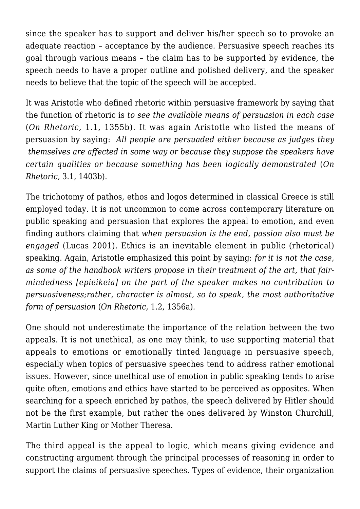since the speaker has to support and deliver his/her speech so to provoke an adequate reaction – acceptance by the audience. Persuasive speech reaches its goal through various means – the claim has to be supported by evidence, the speech needs to have a proper outline and polished delivery, and the speaker needs to believe that the topic of the speech will be accepted.

It was Aristotle who defined rhetoric within persuasive framework by saying that the function of rhetoric is *to see the available means of persuasion in each case* (*On Rhetoric,* 1.1, 1355b). It was again Aristotle who listed the means of persuasion by saying: *All people are persuaded either because as judges they themselves are affected in some way or because they suppose the speakers have certain qualities or because something has been logically demonstrated* (*On Rhetoric,* 3.1, 1403b).

The trichotomy of pathos, ethos and logos determined in classical Greece is still employed today. It is not uncommon to come across contemporary literature on public speaking and persuasion that explores the appeal to emotion, and even finding authors claiming that *when persuasion is the end, passion also must be engaged* (Lucas 2001). Ethics is an inevitable element in public (rhetorical) speaking. Again, Aristotle emphasized this point by saying: *for it is not the case, as some of the handbook writers propose in their treatment of the art, that fairmindedness [epieikeia] on the part of the speaker makes no contribution to persuasiveness;rather, character is almost, so to speak, the most authoritative form of persuasion* (*On Rhetoric,* 1.2, 1356a).

One should not underestimate the importance of the relation between the two appeals. It is not unethical, as one may think, to use supporting material that appeals to emotions or emotionally tinted language in persuasive speech, especially when topics of persuasive speeches tend to address rather emotional issues. However, since unethical use of emotion in public speaking tends to arise quite often, emotions and ethics have started to be perceived as opposites. When searching for a speech enriched by pathos, the speech delivered by Hitler should not be the first example, but rather the ones delivered by Winston Churchill, Martin Luther King or Mother Theresa.

The third appeal is the appeal to logic, which means giving evidence and constructing argument through the principal processes of reasoning in order to support the claims of persuasive speeches. Types of evidence, their organization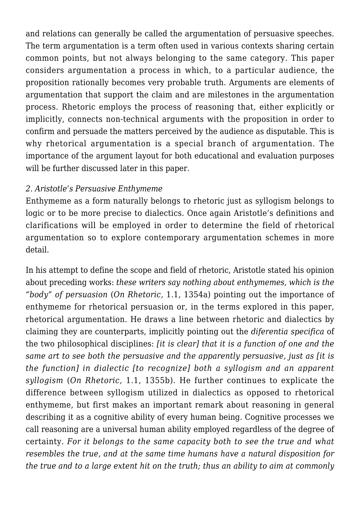and relations can generally be called the argumentation of persuasive speeches. The term argumentation is a term often used in various contexts sharing certain common points, but not always belonging to the same category. This paper considers argumentation a process in which, to a particular audience, the proposition rationally becomes very probable truth. Arguments are elements of argumentation that support the claim and are milestones in the argumentation process. Rhetoric employs the process of reasoning that, either explicitly or implicitly, connects non-technical arguments with the proposition in order to confirm and persuade the matters perceived by the audience as disputable. This is why rhetorical argumentation is a special branch of argumentation. The importance of the argument layout for both educational and evaluation purposes will be further discussed later in this paper.

## *2. Aristotle's Persuasive Enthymeme*

Enthymeme as a form naturally belongs to rhetoric just as syllogism belongs to logic or to be more precise to dialectics. Once again Aristotle's definitions and clarifications will be employed in order to determine the field of rhetorical argumentation so to explore contemporary argumentation schemes in more detail.

In his attempt to define the scope and field of rhetoric, Aristotle stated his opinion about preceding works: *these writers say nothing about enthymemes, which is the "body" of persuasion* (*On Rhetoric,* 1.1, 1354a) pointing out the importance of enthymeme for rhetorical persuasion or, in the terms explored in this paper, rhetorical argumentation. He draws a line between rhetoric and dialectics by claiming they are counterparts, implicitly pointing out the *diferentia specifica* of the two philosophical disciplines: *[it is clear] that it is a function of one and the same art to see both the persuasive and the apparently persuasive, just as [it is the function] in dialectic [to recognize] both a syllogism and an apparent syllogism* (*On Rhetoric,* 1.1, 1355b). He further continues to explicate the difference between syllogism utilized in dialectics as opposed to rhetorical enthymeme, but first makes an important remark about reasoning in general describing it as a cognitive ability of every human being. Cognitive processes we call reasoning are a universal human ability employed regardless of the degree of certainty. *For it belongs to the same capacity both to see the true and what resembles the true, and at the same time humans have a natural disposition for the true and to a large extent hit on the truth; thus an ability to aim at commonly*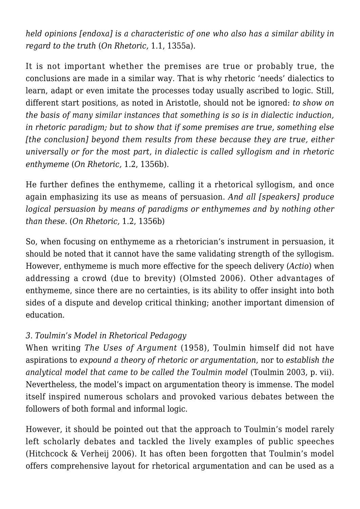*held opinions [endoxa] is a characteristic of one who also has a similar ability in regard to the truth* (*On Rhetoric,* 1.1, 1355a).

It is not important whether the premises are true or probably true, the conclusions are made in a similar way. That is why rhetoric 'needs' dialectics to learn, adapt or even imitate the processes today usually ascribed to logic. Still, different start positions, as noted in Aristotle, should not be ignored: *to show on the basis of many similar instances that something is so is in dialectic induction, in rhetoric paradigm; but to show that if some premises are true, something else [the conclusion] beyond them results from these because they are true, either universally or for the most part, in dialectic is called syllogism and in rhetoric enthymeme* (*On Rhetoric,* 1.2, 1356b).

He further defines the enthymeme, calling it a rhetorical syllogism, and once again emphasizing its use as means of persuasion. *And all [speakers] produce logical persuasion by means of paradigms or enthymemes and by nothing other than these.* (*On Rhetoric,* 1.2, 1356b)

So, when focusing on enthymeme as a rhetorician's instrument in persuasion, it should be noted that it cannot have the same validating strength of the syllogism. However, enthymeme is much more effective for the speech delivery (*Actio*) when addressing a crowd (due to brevity) (Olmsted 2006). Other advantages of enthymeme, since there are no certainties, is its ability to offer insight into both sides of a dispute and develop critical thinking; another important dimension of education.

## *3. Toulmin's Model in Rhetorical Pedagogy*

When writing *The Uses of Argument* (1958), Toulmin himself did not have aspirations to *expound a theory of rhetoric or argumentation*, nor to *establish the analytical model that came to be called the Toulmin model* (Toulmin 2003, p. vii). Nevertheless, the model's impact on argumentation theory is immense. The model itself inspired numerous scholars and provoked various debates between the followers of both formal and informal logic.

However, it should be pointed out that the approach to Toulmin's model rarely left scholarly debates and tackled the lively examples of public speeches (Hitchcock & Verheij 2006). It has often been forgotten that Toulmin's model offers comprehensive layout for rhetorical argumentation and can be used as a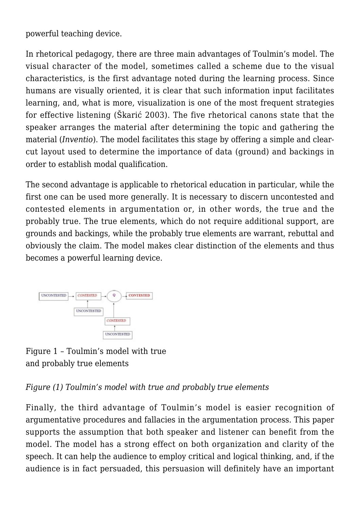powerful teaching device.

In rhetorical pedagogy, there are three main advantages of Toulmin's model. The visual character of the model, sometimes called a scheme due to the visual characteristics, is the first advantage noted during the learning process. Since humans are visually oriented, it is clear that such information input facilitates learning, and, what is more, visualization is one of the most frequent strategies for effective listening (Škarić 2003). The five rhetorical canons state that the speaker arranges the material after determining the topic and gathering the material (*Inventio*). The model facilitates this stage by offering a simple and clearcut layout used to determine the importance of data (ground) and backings in order to establish modal qualification.

The second advantage is applicable to rhetorical education in particular, while the first one can be used more generally. It is necessary to discern uncontested and contested elements in argumentation or, in other words, the true and the probably true. The true elements, which do not require additional support, are grounds and backings, while the probably true elements are warrant, rebuttal and obviously the claim. The model makes clear distinction of the elements and thus becomes a powerful learning device.



Figure 1 – Toulmin's model with true and probably true elements

*Figure (1) Toulmin's model with true and probably true elements*

Finally, the third advantage of Toulmin's model is easier recognition of argumentative procedures and fallacies in the argumentation process. This paper supports the assumption that both speaker and listener can benefit from the model. The model has a strong effect on both organization and clarity of the speech. It can help the audience to employ critical and logical thinking, and, if the audience is in fact persuaded, this persuasion will definitely have an important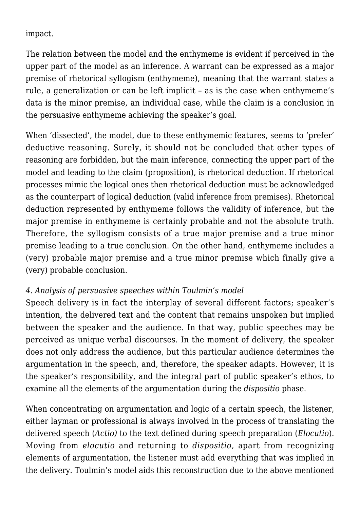impact.

The relation between the model and the enthymeme is evident if perceived in the upper part of the model as an inference. A warrant can be expressed as a major premise of rhetorical syllogism (enthymeme), meaning that the warrant states a rule, a generalization or can be left implicit – as is the case when enthymeme's data is the minor premise, an individual case, while the claim is a conclusion in the persuasive enthymeme achieving the speaker's goal.

When 'dissected', the model, due to these enthymemic features, seems to 'prefer' deductive reasoning. Surely, it should not be concluded that other types of reasoning are forbidden, but the main inference, connecting the upper part of the model and leading to the claim (proposition), is rhetorical deduction. If rhetorical processes mimic the logical ones then rhetorical deduction must be acknowledged as the counterpart of logical deduction (valid inference from premises). Rhetorical deduction represented by enthymeme follows the validity of inference, but the major premise in enthymeme is certainly probable and not the absolute truth. Therefore, the syllogism consists of a true major premise and a true minor premise leading to a true conclusion. On the other hand, enthymeme includes a (very) probable major premise and a true minor premise which finally give a (very) probable conclusion.

## *4. Analysis of persuasive speeches within Toulmin's model*

Speech delivery is in fact the interplay of several different factors; speaker's intention, the delivered text and the content that remains unspoken but implied between the speaker and the audience. In that way, public speeches may be perceived as unique verbal discourses. In the moment of delivery, the speaker does not only address the audience, but this particular audience determines the argumentation in the speech, and, therefore, the speaker adapts. However, it is the speaker's responsibility, and the integral part of public speaker's ethos, to examine all the elements of the argumentation during the *dispositio* phase.

When concentrating on argumentation and logic of a certain speech, the listener, either layman or professional is always involved in the process of translating the delivered speech (*Actio)* to the text defined during speech preparation (*Elocutio*). Moving from *elocutio* and returning to *dispositio*, apart from recognizing elements of argumentation, the listener must add everything that was implied in the delivery. Toulmin's model aids this reconstruction due to the above mentioned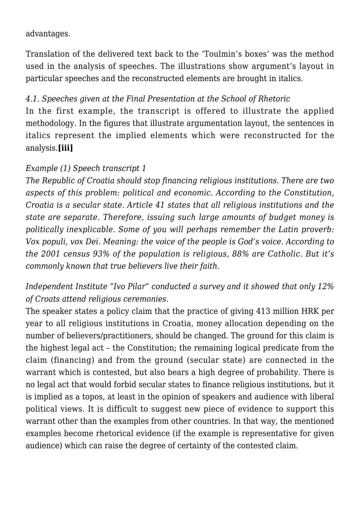## advantages.

Translation of the delivered text back to the 'Toulmin's boxes' was the method used in the analysis of speeches. The illustrations show argument's layout in particular speeches and the reconstructed elements are brought in italics.

## *4.1. Speeches given at the Final Presentation at the School of Rhetoric*

In the first example, the transcript is offered to illustrate the applied methodology. In the figures that illustrate argumentation layout, the sentences in italics represent the implied elements which were reconstructed for the analysis.**[iii]**

#### *Example (1) Speech transcript 1*

*The Republic of Croatia should stop financing religious institutions. There are two aspects of this problem: political and economic. According to the Constitution, Croatia is a secular state. Article 41 states that all religious institutions and the state are separate. Therefore, issuing such large amounts of budget money is politically inexplicable. Some of you will perhaps remember the Latin proverb: Vox populi, vox Dei. Meaning: the voice of the people is God's voice. According to the 2001 census 93% of the population is religious, 88% are Catholic. But it's commonly known that true believers live their faith.*

# *Independent Institute "Ivo Pilar" conducted a survey and it showed that only 12% of Croats attend religious ceremonies.*

The speaker states a policy claim that the practice of giving 413 million HRK per year to all religious institutions in Croatia, money allocation depending on the number of believers/practitioners, should be changed. The ground for this claim is the highest legal act – the Constitution; the remaining logical predicate from the claim (financing) and from the ground (secular state) are connected in the warrant which is contested, but also bears a high degree of probability. There is no legal act that would forbid secular states to finance religious institutions, but it is implied as a topos, at least in the opinion of speakers and audience with liberal political views. It is difficult to suggest new piece of evidence to support this warrant other than the examples from other countries. In that way, the mentioned examples become rhetorical evidence (if the example is representative for given audience) which can raise the degree of certainty of the contested claim.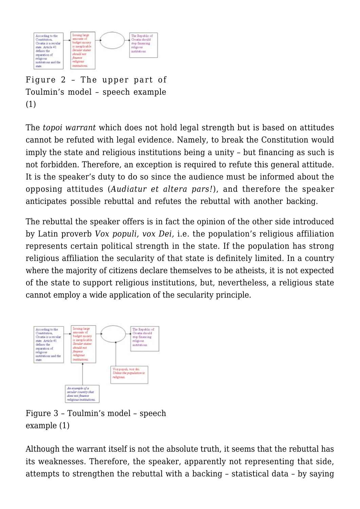

Figure 2 – The upper part of Toulmin's model – speech example (1)

The *topoi warrant* which does not hold legal strength but is based on attitudes cannot be refuted with legal evidence. Namely, to break the Constitution would imply the state and religious institutions being a unity – but financing as such is not forbidden. Therefore, an exception is required to refute this general attitude. It is the speaker's duty to do so since the audience must be informed about the opposing attitudes (*Audiatur et altera pars!*), and therefore the speaker anticipates possible rebuttal and refutes the rebuttal with another backing.

The rebuttal the speaker offers is in fact the opinion of the other side introduced by Latin proverb *Vox populi, vox Dei,* i.e. the population's religious affiliation represents certain political strength in the state. If the population has strong religious affiliation the secularity of that state is definitely limited. In a country where the majority of citizens declare themselves to be atheists, it is not expected of the state to support religious institutions, but, nevertheless, a religious state cannot employ a wide application of the secularity principle.



Figure 3 – Toulmin's model – speech example (1)

Although the warrant itself is not the absolute truth, it seems that the rebuttal has its weaknesses. Therefore, the speaker, apparently not representing that side, attempts to strengthen the rebuttal with a backing – statistical data – by saying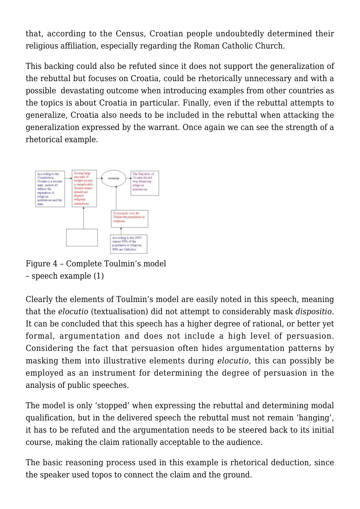that, according to the Census, Croatian people undoubtedly determined their religious affiliation, especially regarding the Roman Catholic Church.

This backing could also be refuted since it does not support the generalization of the rebuttal but focuses on Croatia, could be rhetorically unnecessary and with a possible devastating outcome when introducing examples from other countries as the topics is about Croatia in particular. Finally, even if the rebuttal attempts to generalize, Croatia also needs to be included in the rebuttal when attacking the generalization expressed by the warrant. Once again we can see the strength of a rhetorical example.



Figure 4 – Complete Toulmin's model – speech example (1)

Clearly the elements of Toulmin's model are easily noted in this speech, meaning that the *elocutio* (textualisation) did not attempt to considerably mask *dispositio*. It can be concluded that this speech has a higher degree of rational, or better yet formal, argumentation and does not include a high level of persuasion. Considering the fact that persuasion often hides argumentation patterns by masking them into illustrative elements during *elocutio*, this can possibly be employed as an instrument for determining the degree of persuasion in the analysis of public speeches.

The model is only 'stopped' when expressing the rebuttal and determining modal qualification, but in the delivered speech the rebuttal must not remain 'hanging', it has to be refuted and the argumentation needs to be steered back to its initial course, making the claim rationally acceptable to the audience.

The basic reasoning process used in this example is rhetorical deduction, since the speaker used topos to connect the claim and the ground.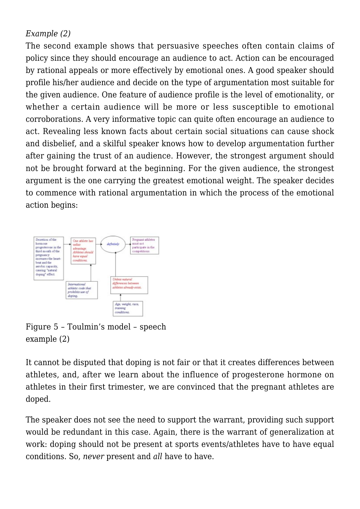## *Example (2)*

The second example shows that persuasive speeches often contain claims of policy since they should encourage an audience to act. Action can be encouraged by rational appeals or more effectively by emotional ones. A good speaker should profile his/her audience and decide on the type of argumentation most suitable for the given audience. One feature of audience profile is the level of emotionality, or whether a certain audience will be more or less susceptible to emotional corroborations. A very informative topic can quite often encourage an audience to act. Revealing less known facts about certain social situations can cause shock and disbelief, and a skilful speaker knows how to develop argumentation further after gaining the trust of an audience. However, the strongest argument should not be brought forward at the beginning. For the given audience, the strongest argument is the one carrying the greatest emotional weight. The speaker decides to commence with rational argumentation in which the process of the emotional action begins:



Figure 5 – Toulmin's model – speech example (2)

It cannot be disputed that doping is not fair or that it creates differences between athletes, and, after we learn about the influence of progesterone hormone on athletes in their first trimester, we are convinced that the pregnant athletes are doped.

The speaker does not see the need to support the warrant, providing such support would be redundant in this case. Again, there is the warrant of generalization at work: doping should not be present at sports events/athletes have to have equal conditions. So, *never* present and *all* have to have.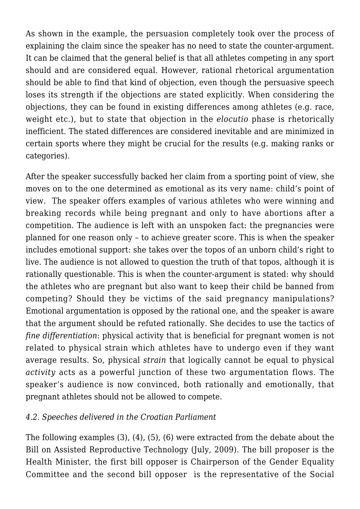As shown in the example, the persuasion completely took over the process of explaining the claim since the speaker has no need to state the counter-argument. It can be claimed that the general belief is that all athletes competing in any sport should and are considered equal. However, rational rhetorical argumentation should be able to find that kind of objection, even though the persuasive speech loses its strength if the objections are stated explicitly. When considering the objections, they can be found in existing differences among athletes (e.g. race, weight etc.), but to state that objection in the *elocutio* phase is rhetorically inefficient. The stated differences are considered inevitable and are minimized in certain sports where they might be crucial for the results (e.g. making ranks or categories).

After the speaker successfully backed her claim from a sporting point of view, she moves on to the one determined as emotional as its very name: child's point of view. The speaker offers examples of various athletes who were winning and breaking records while being pregnant and only to have abortions after a competition. The audience is left with an unspoken fact: the pregnancies were planned for one reason only – to achieve greater score. This is when the speaker includes emotional support: she takes over the topos of an unborn child's right to live. The audience is not allowed to question the truth of that topos, although it is rationally questionable. This is when the counter-argument is stated: why should the athletes who are pregnant but also want to keep their child be banned from competing? Should they be victims of the said pregnancy manipulations? Emotional argumentation is opposed by the rational one, and the speaker is aware that the argument should be refuted rationally. She decides to use the tactics of *fine differentiation*: physical activity that is beneficial for pregnant women is not related to physical strain which athletes have to undergo even if they want average results. So, physical *strain* that logically cannot be equal to physical *activity* acts as a powerful junction of these two argumentation flows. The speaker's audience is now convinced, both rationally and emotionally, that pregnant athletes should not be allowed to compete.

#### *4.2. Speeches delivered in the Croatian Parliament*

The following examples (3), (4), (5), (6) were extracted from the debate about the Bill on Assisted Reproductive Technology (July, 2009). The bill proposer is the Health Minister, the first bill opposer is Chairperson of the Gender Equality Committee and the second bill opposer is the representative of the Social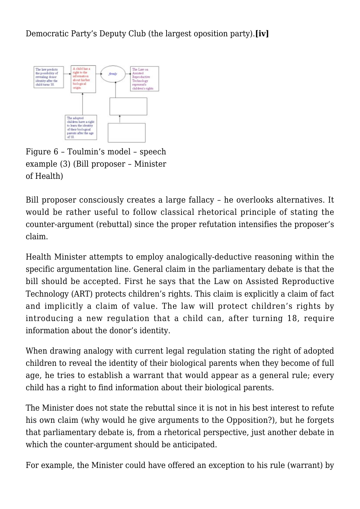Democratic Party's Deputy Club (the largest oposition party).**[iv]**



Figure 6 – Toulmin's model – speech example (3) (Bill proposer – Minister of Health)

Bill proposer consciously creates a large fallacy – he overlooks alternatives. It would be rather useful to follow classical rhetorical principle of stating the counter-argument (rebuttal) since the proper refutation intensifies the proposer's claim.

Health Minister attempts to employ analogically-deductive reasoning within the specific argumentation line. General claim in the parliamentary debate is that the bill should be accepted. First he says that the Law on Assisted Reproductive Technology (ART) protects children's rights. This claim is explicitly a claim of fact and implicitly a claim of value. The law will protect children's rights by introducing a new regulation that a child can, after turning 18, require information about the donor's identity.

When drawing analogy with current legal regulation stating the right of adopted children to reveal the identity of their biological parents when they become of full age, he tries to establish a warrant that would appear as a general rule; every child has a right to find information about their biological parents.

The Minister does not state the rebuttal since it is not in his best interest to refute his own claim (why would he give arguments to the Opposition?), but he forgets that parliamentary debate is, from a rhetorical perspective, just another debate in which the counter-argument should be anticipated.

For example, the Minister could have offered an exception to his rule (warrant) by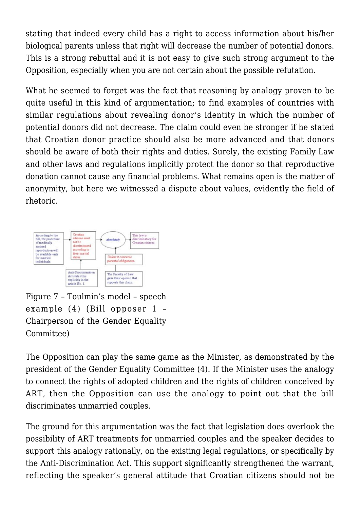stating that indeed every child has a right to access information about his/her biological parents unless that right will decrease the number of potential donors. This is a strong rebuttal and it is not easy to give such strong argument to the Opposition, especially when you are not certain about the possible refutation.

What he seemed to forget was the fact that reasoning by analogy proven to be quite useful in this kind of argumentation; to find examples of countries with similar regulations about revealing donor's identity in which the number of potential donors did not decrease. The claim could even be stronger if he stated that Croatian donor practice should also be more advanced and that donors should be aware of both their rights and duties. Surely, the existing Family Law and other laws and regulations implicitly protect the donor so that reproductive donation cannot cause any financial problems. What remains open is the matter of anonymity, but here we witnessed a dispute about values, evidently the field of rhetoric.



Figure 7 – Toulmin's model – speech example (4) (Bill opposer 1 – Chairperson of the Gender Equality Committee)

The Opposition can play the same game as the Minister, as demonstrated by the president of the Gender Equality Committee (4). If the Minister uses the analogy to connect the rights of adopted children and the rights of children conceived by ART, then the Opposition can use the analogy to point out that the bill discriminates unmarried couples.

The ground for this argumentation was the fact that legislation does overlook the possibility of ART treatments for unmarried couples and the speaker decides to support this analogy rationally, on the existing legal regulations, or specifically by the Anti-Discrimination Act. This support significantly strengthened the warrant, reflecting the speaker's general attitude that Croatian citizens should not be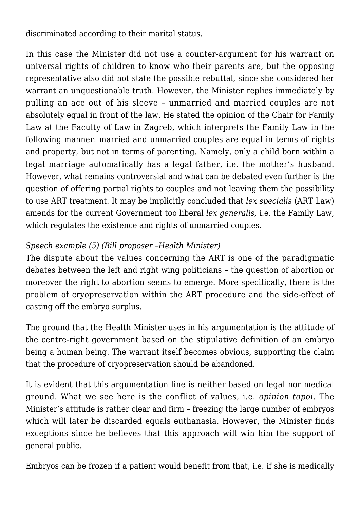discriminated according to their marital status.

In this case the Minister did not use a counter-argument for his warrant on universal rights of children to know who their parents are, but the opposing representative also did not state the possible rebuttal, since she considered her warrant an unquestionable truth. However, the Minister replies immediately by pulling an ace out of his sleeve – unmarried and married couples are not absolutely equal in front of the law. He stated the opinion of the Chair for Family Law at the Faculty of Law in Zagreb, which interprets the Family Law in the following manner: married and unmarried couples are equal in terms of rights and property, but not in terms of parenting. Namely, only a child born within a legal marriage automatically has a legal father, i.e. the mother's husband. However, what remains controversial and what can be debated even further is the question of offering partial rights to couples and not leaving them the possibility to use ART treatment. It may be implicitly concluded that *lex specialis* (ART Law) amends for the current Government too liberal *lex generalis,* i.e. the Family Law, which regulates the existence and rights of unmarried couples.

## *Speech example (5) (Bill proposer –Health Minister)*

The dispute about the values concerning the ART is one of the paradigmatic debates between the left and right wing politicians – the question of abortion or moreover the right to abortion seems to emerge. More specifically, there is the problem of cryopreservation within the ART procedure and the side-effect of casting off the embryo surplus.

The ground that the Health Minister uses in his argumentation is the attitude of the centre-right government based on the stipulative definition of an embryo being a human being. The warrant itself becomes obvious, supporting the claim that the procedure of cryopreservation should be abandoned.

It is evident that this argumentation line is neither based on legal nor medical ground. What we see here is the conflict of values, i.e. *opinion topoi*. The Minister's attitude is rather clear and firm – freezing the large number of embryos which will later be discarded equals euthanasia. However, the Minister finds exceptions since he believes that this approach will win him the support of general public*.*

Embryos can be frozen if a patient would benefit from that, i.e. if she is medically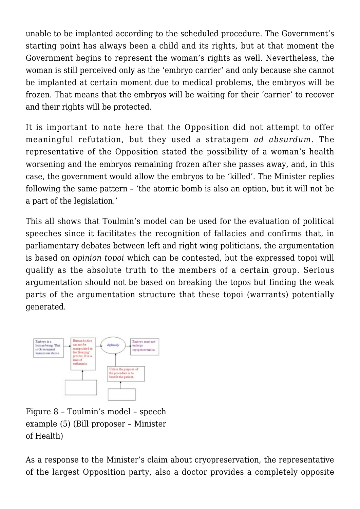unable to be implanted according to the scheduled procedure. The Government's starting point has always been a child and its rights, but at that moment the Government begins to represent the woman's rights as well. Nevertheless, the woman is still perceived only as the 'embryo carrier' and only because she cannot be implanted at certain moment due to medical problems, the embryos will be frozen. That means that the embryos will be waiting for their 'carrier' to recover and their rights will be protected.

It is important to note here that the Opposition did not attempt to offer meaningful refutation, but they used a stratagem *ad absurdum*. The representative of the Opposition stated the possibility of a woman's health worsening and the embryos remaining frozen after she passes away, and, in this case, the government would allow the embryos to be 'killed'. The Minister replies following the same pattern – 'the atomic bomb is also an option, but it will not be a part of the legislation.'

This all shows that Toulmin's model can be used for the evaluation of political speeches since it facilitates the recognition of fallacies and confirms that, in parliamentary debates between left and right wing politicians, the argumentation is based on *opinion topoi* which can be contested, but the expressed topoi will qualify as the absolute truth to the members of a certain group. Serious argumentation should not be based on breaking the topos but finding the weak parts of the argumentation structure that these topoi (warrants) potentially generated.



Figure 8 – Toulmin's model – speech example (5) (Bill proposer – Minister of Health)

As a response to the Minister's claim about cryopreservation, the representative of the largest Opposition party, also a doctor provides a completely opposite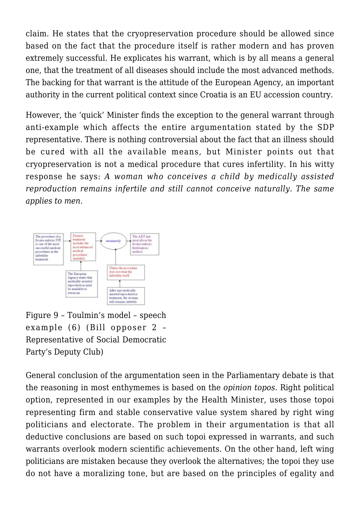claim. He states that the cryopreservation procedure should be allowed since based on the fact that the procedure itself is rather modern and has proven extremely successful. He explicates his warrant, which is by all means a general one, that the treatment of all diseases should include the most advanced methods. The backing for that warrant is the attitude of the European Agency, an important authority in the current political context since Croatia is an EU accession country.

However, the 'quick' Minister finds the exception to the general warrant through anti-example which affects the entire argumentation stated by the SDP representative. There is nothing controversial about the fact that an illness should be cured with all the available means, but Minister points out that cryopreservation is not a medical procedure that cures infertility. In his witty response he says: *A woman who conceives a child by medically assisted reproduction remains infertile and still cannot conceive naturally. The same applies to men.*



Figure 9 – Toulmin's model – speech example (6) (Bill opposer 2 – Representative of Social Democratic Party's Deputy Club)

General conclusion of the argumentation seen in the Parliamentary debate is that the reasoning in most enthymemes is based on the *opinion topos*. Right political option, represented in our examples by the Health Minister, uses those topoi representing firm and stable conservative value system shared by right wing politicians and electorate. The problem in their argumentation is that all deductive conclusions are based on such topoi expressed in warrants, and such warrants overlook modern scientific achievements. On the other hand, left wing politicians are mistaken because they overlook the alternatives; the topoi they use do not have a moralizing tone, but are based on the principles of egality and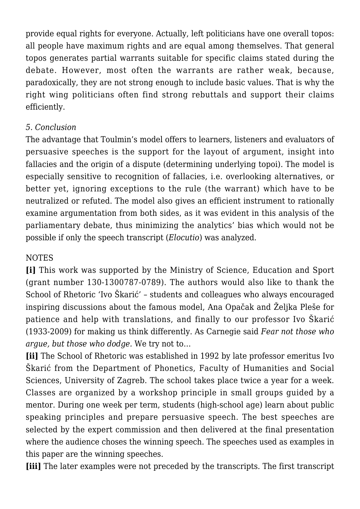provide equal rights for everyone. Actually, left politicians have one overall topos: all people have maximum rights and are equal among themselves. That general topos generates partial warrants suitable for specific claims stated during the debate. However, most often the warrants are rather weak, because, paradoxically, they are not strong enough to include basic values. That is why the right wing politicians often find strong rebuttals and support their claims efficiently.

## *5. Conclusion*

The advantage that Toulmin's model offers to learners, listeners and evaluators of persuasive speeches is the support for the layout of argument, insight into fallacies and the origin of a dispute (determining underlying topoi). The model is especially sensitive to recognition of fallacies, i.e. overlooking alternatives, or better yet, ignoring exceptions to the rule (the warrant) which have to be neutralized or refuted. The model also gives an efficient instrument to rationally examine argumentation from both sides, as it was evident in this analysis of the parliamentary debate, thus minimizing the analytics' bias which would not be possible if only the speech transcript (*Elocutio*) was analyzed.

## **NOTES**

**[i]** This work was supported by the Ministry of Science, Education and Sport (grant number 130-1300787-0789). The authors would also like to thank the School of Rhetoric 'Ivo Škarić' – students and colleagues who always encouraged inspiring discussions about the famous model, Ana Opačak and Željka Pleše for patience and help with translations, and finally to our professor Ivo Škarić (1933-2009) for making us think differently. As Carnegie said *Fear not those who argue, but those who dodge.* We try not to…

**[ii]** The School of Rhetoric was established in 1992 by late professor emeritus Ivo Škarić from the Department of Phonetics, Faculty of Humanities and Social Sciences, University of Zagreb. The school takes place twice a year for a week. Classes are organized by a workshop principle in small groups guided by a mentor. During one week per term, students (high-school age) learn about public speaking principles and prepare persuasive speech. The best speeches are selected by the expert commission and then delivered at the final presentation where the audience choses the winning speech. The speeches used as examples in this paper are the winning speeches.

**[iii]** The later examples were not preceded by the transcripts. The first transcript